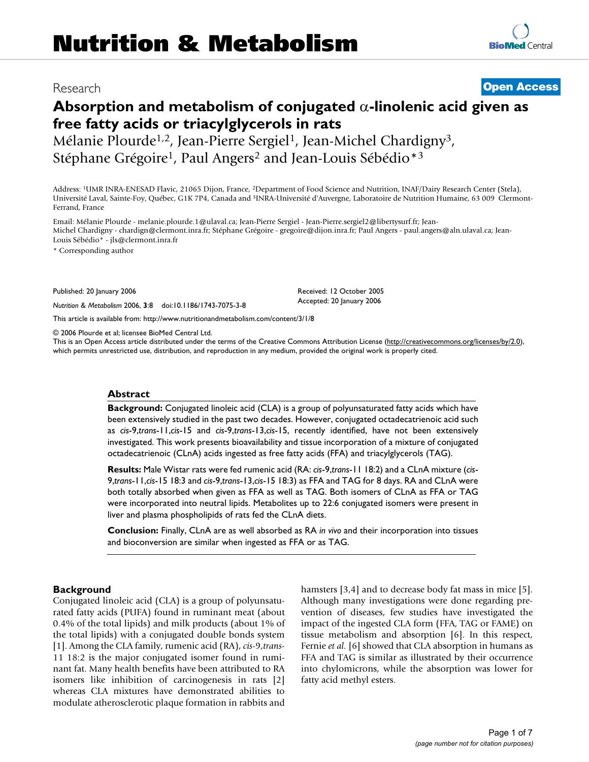# Research **[Open Access](http://www.biomedcentral.com/info/about/charter/)**

# **Absorption and metabolism of conjugated** α**-linolenic acid given as free fatty acids or triacylglycerols in rats**

Mélanie Plourde<sup>1,2</sup>, Jean-Pierre Sergiel<sup>1</sup>, Jean-Michel Chardigny<sup>3</sup>, Stéphane Grégoire<sup>1</sup>, Paul Angers<sup>2</sup> and Jean-Louis Sébédio<sup>\*3</sup>

Address: 1UMR INRA-ENESAD Flavic, 21065 Dijon, France, 2Department of Food Science and Nutrition, INAF/Dairy Research Center (Stela), Université Laval, Sainte-Foy, Québec, G1K 7P4, Canada and 3INRA-Université d'Auvergne, Laboratoire de Nutrition Humaine, 63 009 Clermont-Ferrand, France

Email: Mélanie Plourde - melanie.plourde.1@ulaval.ca; Jean-Pierre Sergiel - Jean-Pierre.sergiel2@libertysurf.fr; Jean-Michel Chardigny - chardign@clermont.inra.fr; Stéphane Grégoire - gregoire@dijon.inra.fr; Paul Angers - paul.angers@aln.ulaval.ca; Jean-Louis Sébédio\* - jls@clermont.inra.fr

\* Corresponding author

Published: 20 January 2006

*Nutrition & Metabolism* 2006, **3**:8 doi:10.1186/1743-7075-3-8

[This article is available from: http://www.nutritionandmetabolism.com/content/3/1/8](http://www.nutritionandmetabolism.com/content/3/1/8)

© 2006 Plourde et al; licensee BioMed Central Ltd.

This is an Open Access article distributed under the terms of the Creative Commons Attribution License [\(http://creativecommons.org/licenses/by/2.0\)](http://creativecommons.org/licenses/by/2.0), which permits unrestricted use, distribution, and reproduction in any medium, provided the original work is properly cited.

Received: 12 October 2005 Accepted: 20 January 2006

#### **Abstract**

**Background:** Conjugated linoleic acid (CLA) is a group of polyunsaturated fatty acids which have been extensively studied in the past two decades. However, conjugated octadecatrienoic acid such as *cis*-9,*trans*-11,*cis*-15 and *cis*-9,*trans*-13,*cis*-15, recently identified, have not been extensively investigated. This work presents bioavailability and tissue incorporation of a mixture of conjugated octadecatrienoic (CLnA) acids ingested as free fatty acids (FFA) and triacylglycerols (TAG).

**Results:** Male Wistar rats were fed rumenic acid (RA: *cis*-9,*trans*-11 18:2) and a CLnA mixture (*cis*-9,*trans*-11,*cis*-15 18:3 and *cis*-9,*trans*-13,*cis*-15 18:3) as FFA and TAG for 8 days. RA and CLnA were both totally absorbed when given as FFA as well as TAG. Both isomers of CLnA as FFA or TAG were incorporated into neutral lipids. Metabolites up to 22:6 conjugated isomers were present in liver and plasma phospholipids of rats fed the CLnA diets.

**Conclusion:** Finally, CLnA are as well absorbed as RA *in vivo* and their incorporation into tissues and bioconversion are similar when ingested as FFA or as TAG.

#### **Background**

Conjugated linoleic acid (CLA) is a group of polyunsaturated fatty acids (PUFA) found in ruminant meat (about 0.4% of the total lipids) and milk products (about 1% of the total lipids) with a conjugated double bonds system [1]. Among the CLA family, rumenic acid (RA), *cis*-9,*trans*-11 18:2 is the major conjugated isomer found in ruminant fat. Many health benefits have been attributed to RA isomers like inhibition of carcinogenesis in rats [2] whereas CLA mixtures have demonstrated abilities to modulate atherosclerotic plaque formation in rabbits and hamsters [3,4] and to decrease body fat mass in mice [5]. Although many investigations were done regarding prevention of diseases, few studies have investigated the impact of the ingested CLA form (FFA, TAG or FAME) on tissue metabolism and absorption [6]. In this respect, Fernie *et al.* [6] showed that CLA absorption in humans as FFA and TAG is similar as illustrated by their occurrence into chylomicrons, while the absorption was lower for fatty acid methyl esters.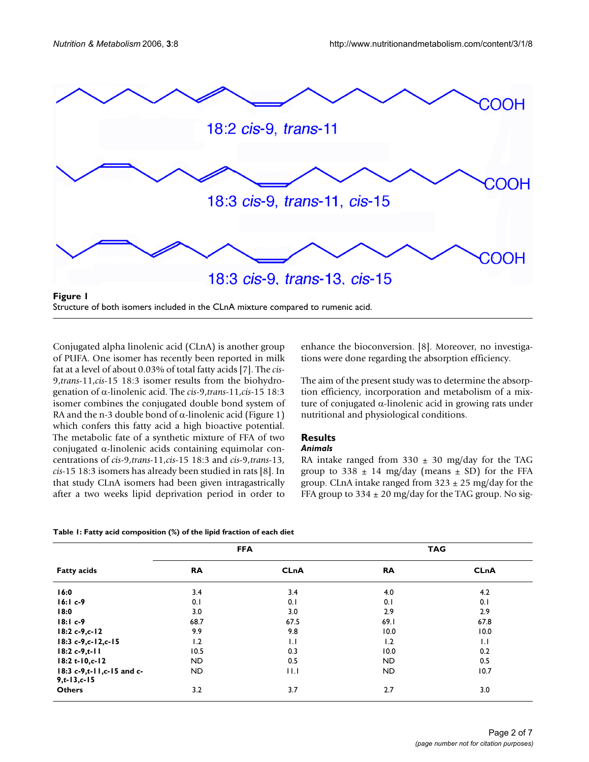

Conjugated alpha linolenic acid (CLnA) is another group of PUFA. One isomer has recently been reported in milk fat at a level of about 0.03% of total fatty acids [7]. The *cis*-9,*trans*-11,*cis*-15 18:3 isomer results from the biohydrogenation of α-linolenic acid. The *cis*-9,*trans*-11,*cis*-15 18:3 isomer combines the conjugated double bond system of RA and the n-3 double bond of  $\alpha$ -linolenic acid (Figure 1) which confers this fatty acid a high bioactive potential. The metabolic fate of a synthetic mixture of FFA of two conjugated α-linolenic acids containing equimolar concentrations of *cis*-9,*trans*-11,*cis*-15 18:3 and *cis*-9,*trans*-13, *cis*-15 18:3 isomers has already been studied in rats [8]. In that study CLnA isomers had been given intragastrically after a two weeks lipid deprivation period in order to enhance the bioconversion. [8]. Moreover, no investigations were done regarding the absorption efficiency.

The aim of the present study was to determine the absorption efficiency, incorporation and metabolism of a mixture of conjugated α-linolenic acid in growing rats under nutritional and physiological conditions.

# **Results**

### *Animals*

RA intake ranged from  $330 \pm 30$  mg/day for the TAG group to 338  $\pm$  14 mg/day (means  $\pm$  SD) for the FFA group. CLnA intake ranged from  $323 \pm 25$  mg/day for the FFA group to  $334 \pm 20$  mg/day for the TAG group. No sig-

| Table 1: Fatty acid composition (%) of the lipid fraction of each diet |  |  |
|------------------------------------------------------------------------|--|--|
|------------------------------------------------------------------------|--|--|

|                                                  |           | <b>FFA</b>  |           | <b>TAG</b>  |
|--------------------------------------------------|-----------|-------------|-----------|-------------|
| <b>Fatty acids</b>                               | <b>RA</b> | <b>CLnA</b> | <b>RA</b> | <b>CLnA</b> |
| 16:0                                             | 3.4       | 3.4         | 4.0       | 4.2         |
| $16:1c-9$                                        | 0.1       | 0.1         | 0.1       | 0.1         |
| 18:0                                             | 3.0       | 3.0         | 2.9       | 2.9         |
| $18:1c-9$                                        | 68.7      | 67.5        | 69.1      | 67.8        |
| $18:2c-9,c-12$                                   | 9.9       | 9.8         | 10.0      | 10.0        |
| $18:3c-9,c-12,c-15$                              | 1.2       | 1.1         | 1.2       | $  \cdot  $ |
| $18:2c-9,t-11$                                   | 10.5      | 0.3         | 10.0      | 0.2         |
| $18:2t-10,c-12$                                  | ND.       | 0.5         | ND.       | 0.5         |
| 18:3 c-9,t-11,c-15 and c-<br>$9, t - 13, c - 15$ | ND.       | 11.1        | ND.       | 10.7        |
| <b>Others</b>                                    | 3.2       | 3.7         | 2.7       | 3.0         |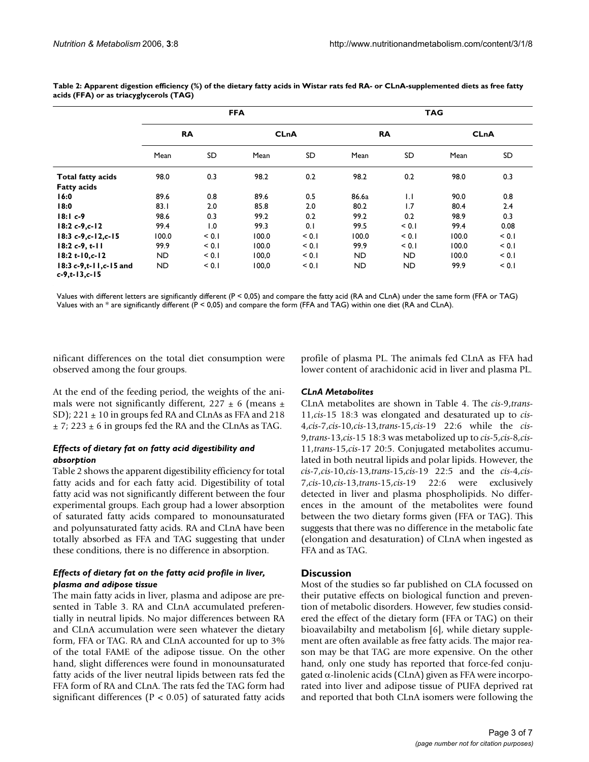|                                             | <b>FFA</b> |           |             |       | <b>TAG</b> |       |             |       |
|---------------------------------------------|------------|-----------|-------------|-------|------------|-------|-------------|-------|
|                                             | <b>RA</b>  |           | <b>CLnA</b> |       | <b>RA</b>  |       | <b>CLnA</b> |       |
|                                             | Mean       | <b>SD</b> | Mean        | SD    | Mean       | SD    | Mean        | SD    |
| <b>Total fatty acids</b>                    | 98.0       | 0.3       | 98.2        | 0.2   | 98.2       | 0.2   | 98.0        | 0.3   |
| <b>Fatty acids</b>                          |            |           |             |       |            |       |             |       |
| 16:0                                        | 89.6       | 0.8       | 89.6        | 0.5   | 86.6a      | 1.1   | 90.0        | 0.8   |
| 18:0                                        | 83.1       | 2.0       | 85.8        | 2.0   | 80.2       | 1.7   | 80.4        | 2.4   |
| $18:1c-9$                                   | 98.6       | 0.3       | 99.2        | 0.2   | 99.2       | 0.2   | 98.9        | 0.3   |
| $18:2c-9,c-12$                              | 99.4       | 1.0       | 99.3        | 0.1   | 99.5       | < 0.1 | 99.4        | 0.08  |
| 18:3 c-9,c-12,c-15                          | 100.0      | < 0.1     | 100.0       | < 0.1 | 100.0      | < 0.1 | 100.0       | < 0.1 |
| $18:2c-9, t-11$                             | 99.9       | < 0.1     | 100.0       | < 0.1 | 99.9       | < 0.1 | 100.0       | < 0.1 |
| $18:2t-10,c-12$                             | ND.        | < 0.1     | 100,0       | < 0.1 | <b>ND</b>  | ND.   | 100.0       | < 0.1 |
| 18:3 c-9,t-11,c-15 and<br>$c-9, t-13, c-15$ | ND.        | < 0.1     | 100,0       | < 0.1 | ND         | ND.   | 99.9        | < 0.1 |

**Table 2: Apparent digestion efficiency (%) of the dietary fatty acids in Wistar rats fed RA- or CLnA-supplemented diets as free fatty acids (FFA) or as triacyglycerols (TAG)**

Values with different letters are significantly different (P < 0,05) and compare the fatty acid (RA and CLnA) under the same form (FFA or TAG) Values with an  $*$  are significantly different ( $P < 0.05$ ) and compare the form (FFA and TAG) within one diet (RA and CLnA).

nificant differences on the total diet consumption were observed among the four groups.

At the end of the feeding period, the weights of the animals were not significantly different,  $227 \pm 6$  (means  $\pm$ SD);  $221 \pm 10$  in groups fed RA and CLnAs as FFA and 218  $\pm$  7; 223  $\pm$  6 in groups fed the RA and the CLnAs as TAG.

# *Effects of dietary fat on fatty acid digestibility and absorption*

Table 2 shows the apparent digestibility efficiency for total fatty acids and for each fatty acid. Digestibility of total fatty acid was not significantly different between the four experimental groups. Each group had a lower absorption of saturated fatty acids compared to monounsaturated and polyunsaturated fatty acids. RA and CLnA have been totally absorbed as FFA and TAG suggesting that under these conditions, there is no difference in absorption.

# *Effects of dietary fat on the fatty acid profile in liver, plasma and adipose tissue*

The main fatty acids in liver, plasma and adipose are presented in Table 3. RA and CLnA accumulated preferentially in neutral lipids. No major differences between RA and CLnA accumulation were seen whatever the dietary form, FFA or TAG. RA and CLnA accounted for up to 3% of the total FAME of the adipose tissue. On the other hand, slight differences were found in monounsaturated fatty acids of the liver neutral lipids between rats fed the FFA form of RA and CLnA. The rats fed the TAG form had significant differences ( $P < 0.05$ ) of saturated fatty acids profile of plasma PL. The animals fed CLnA as FFA had lower content of arachidonic acid in liver and plasma PL.

# *CLnA Metabolites*

CLnA metabolites are shown in Table 4. The *cis*-9,*trans*-11,*cis*-15 18:3 was elongated and desaturated up to *cis*-4,*cis*-7,*cis*-10,*cis*-13,*trans*-15,*cis*-19 22:6 while the *cis*-9,*trans*-13,*cis*-15 18:3 was metabolized up to *cis*-5,*cis*-8,*cis*-11,*trans*-15,*cis*-17 20:5. Conjugated metabolites accumulated in both neutral lipids and polar lipids. However, the *cis*-7,*cis*-10,*cis*-13,*trans*-15,*cis*-19 22:5 and the *cis*-4,*cis*-7,*cis*-10,*cis*-13,*trans*-15,*cis*-19 22:6 were exclusively detected in liver and plasma phospholipids. No differences in the amount of the metabolites were found between the two dietary forms given (FFA or TAG). This suggests that there was no difference in the metabolic fate (elongation and desaturation) of CLnA when ingested as FFA and as TAG.

# **Discussion**

Most of the studies so far published on CLA focussed on their putative effects on biological function and prevention of metabolic disorders. However, few studies considered the effect of the dietary form (FFA or TAG) on their bioavailabilty and metabolism [6], while dietary supplement are often available as free fatty acids. The major reason may be that TAG are more expensive. On the other hand, only one study has reported that force-fed conjugated α-linolenic acids (CLnA) given as FFA were incorporated into liver and adipose tissue of PUFA deprived rat and reported that both CLnA isomers were following the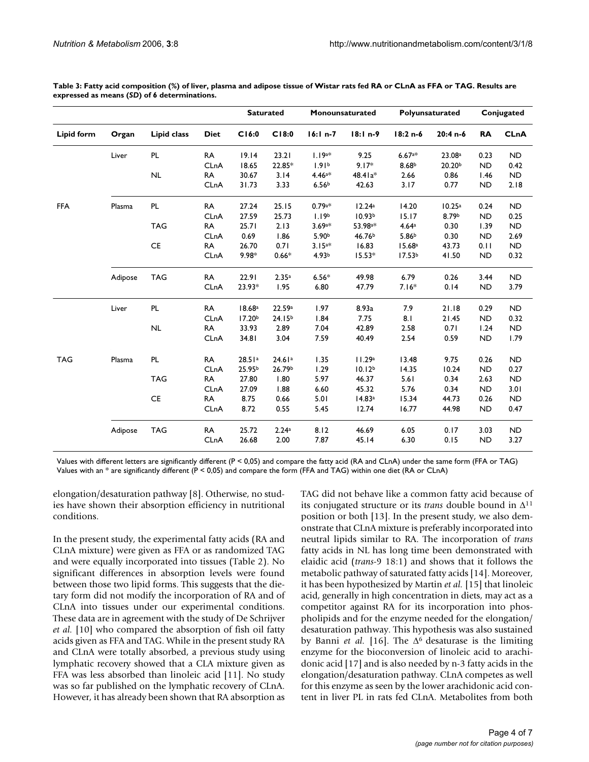|                   |         |             |             |                    | <b>Saturated</b> |                      | Monounsaturated     |                    | Polyunsaturated    |           | Conjugated  |
|-------------------|---------|-------------|-------------|--------------------|------------------|----------------------|---------------------|--------------------|--------------------|-----------|-------------|
| <b>Lipid form</b> | Organ   | Lipid class | <b>Diet</b> | C16:0              | C18:0            | $16:1n-7$            | $18:1 n-9$          | 18:2 n-6           | $20:4n-6$          | RA        | <b>CLnA</b> |
|                   | Liver   | PL          | <b>RA</b>   | 19.14              | 23.21            | $1.19a*$             | 9.25                | $6.67a*$           | 23.08 <sup>a</sup> | 0.23      | <b>ND</b>   |
|                   |         |             | CLnA        | 18.65              | 22.85*           | 1.91 <sup>b</sup>    | $9.17*$             | 8.68 <sup>b</sup>  | 20.20 <sup>b</sup> | <b>ND</b> | 0.42        |
|                   |         | NL          | RA          | 30.67              | 3.14             | $4.46^{a*}$          | 48.41a*             | 2.66               | 0.86               | 1.46      | <b>ND</b>   |
|                   |         |             | CLnA        | 31.73              | 3.33             | 6.56 <sup>b</sup>    | 42.63               | 3.17               | 0.77               | <b>ND</b> | 2.18        |
| <b>FFA</b>        | Plasma  | PL          | RA          | 27.24              | 25.15            | $0.79a*$             | 12.24a              | 14.20              | 10.25a             | 0.24      | <b>ND</b>   |
|                   |         |             | CLnA        | 27.59              | 25.73            | 1.19 <sup>b</sup>    | 10.93 <sup>b</sup>  | 15.17              | 8.79b              | <b>ND</b> | 0.25        |
|                   |         | <b>TAG</b>  | <b>RA</b>   | 25.71              | 2.13             | $3.69$ <sup>a*</sup> | 53.98 <sup>a*</sup> | 4.64a              | 0.30               | 1.39      | <b>ND</b>   |
|                   |         |             | CLnA        | 0.69               | 1.86             | 5.90 <sup>b</sup>    | 46.76 <sup>b</sup>  | 5.86 <sup>b</sup>  | 0.30               | <b>ND</b> | 2.69        |
|                   |         | <b>CE</b>   | RA          | 26.70              | 0.71             | $3.15a*$             | 16.83               | 15.68a             | 43.73              | 0.11      | <b>ND</b>   |
|                   |         |             | CLnA        | 9.98*              | $0.66*$          | 4.93 <sup>b</sup>    | $15.53*$            | 17.53 <sup>b</sup> | 41.50              | <b>ND</b> | 0.32        |
|                   | Adipose | <b>TAG</b>  | <b>RA</b>   | 22.91              | 2.35a            | $6.56*$              | 49.98               | 6.79               | 0.26               | 3.44      | <b>ND</b>   |
|                   |         |             | CLnA        | 23.93*             | 1.95             | 6.80                 | 47.79               | $7.16*$            | 0.14               | <b>ND</b> | 3.79        |
|                   | Liver   | PL          | <b>RA</b>   | 18.68 <sup>a</sup> | 22.59a           | 1.97                 | 8.93a               | 7.9                | 21.18              | 0.29      | <b>ND</b>   |
|                   |         |             | CLnA        | 17.20 <sup>b</sup> | $24.15^{b}$      | 1.84                 | 7.75                | 8.1                | 21.45              | <b>ND</b> | 0.32        |
|                   |         | NL          | <b>RA</b>   | 33.93              | 2.89             | 7.04                 | 42.89               | 2.58               | 0.71               | 1.24      | <b>ND</b>   |
|                   |         |             | CLnA        | 34.81              | 3.04             | 7.59                 | 40.49               | 2.54               | 0.59               | <b>ND</b> | 1.79        |
| <b>TAG</b>        | Plasma  | PL          | <b>RA</b>   | 28.51a             | 24.61a           | 1.35                 | 11.29a              | 13.48              | 9.75               | 0.26      | <b>ND</b>   |
|                   |         |             | CLnA        | 25.95 <sup>b</sup> | 26.79b           | 1.29                 | 10.12 <sup>b</sup>  | 14.35              | 10.24              | <b>ND</b> | 0.27        |
|                   |         | <b>TAG</b>  | RA          | 27.80              | 1.80             | 5.97                 | 46.37               | 5.61               | 0.34               | 2.63      | <b>ND</b>   |
|                   |         |             | CLnA        | 27.09              | 1.88             | 6.60                 | 45.32               | 5.76               | 0.34               | <b>ND</b> | 3.01        |
|                   |         | <b>CE</b>   | RA          | 8.75               | 0.66             | 5.01                 | 14.83a              | 15.34              | 44.73              | 0.26      | <b>ND</b>   |
|                   |         |             | CLnA        | 8.72               | 0.55             | 5.45                 | 12.74               | 16.77              | 44.98              | <b>ND</b> | 0.47        |
|                   | Adipose | <b>TAG</b>  | <b>RA</b>   | 25.72              | 2.24a            | 8.12                 | 46.69               | 6.05               | 0.17               | 3.03      | <b>ND</b>   |
|                   |         |             | CLnA        | 26.68              | 2.00             | 7.87                 | 45.14               | 6.30               | 0.15               | <b>ND</b> | 3.27        |

**Table 3: Fatty acid composition (%) of liver, plasma and adipose tissue of Wistar rats fed RA or CLnA as FFA or TAG. Results are expressed as means (***SD***) of 6 determinations.**

Values with different letters are significantly different (P < 0,05) and compare the fatty acid (RA and CLnA) under the same form (FFA or TAG) Values with an \* are significantly different (P < 0,05) and compare the form (FFA and TAG) within one diet (RA or CLnA)

elongation/desaturation pathway [8]. Otherwise, no studies have shown their absorption efficiency in nutritional conditions.

In the present study, the experimental fatty acids (RA and CLnA mixture) were given as FFA or as randomized TAG and were equally incorporated into tissues (Table 2). No significant differences in absorption levels were found between those two lipid forms. This suggests that the dietary form did not modify the incorporation of RA and of CLnA into tissues under our experimental conditions. These data are in agreement with the study of De Schrijver *et al.* [10] who compared the absorption of fish oil fatty acids given as FFA and TAG. While in the present study RA and CLnA were totally absorbed, a previous study using lymphatic recovery showed that a CLA mixture given as FFA was less absorbed than linoleic acid [11]. No study was so far published on the lymphatic recovery of CLnA. However, it has already been shown that RA absorption as

TAG did not behave like a common fatty acid because of its conjugated structure or its *trans* double bound in ∆<sup>11</sup> position or both [13]. In the present study, we also demonstrate that CLnA mixture is preferably incorporated into neutral lipids similar to RA. The incorporation of *trans* fatty acids in NL has long time been demonstrated with elaidic acid (*trans*-9 18:1) and shows that it follows the metabolic pathway of saturated fatty acids [14]. Moreover, it has been hypothesized by Martin *et al.* [15] that linoleic acid, generally in high concentration in diets, may act as a competitor against RA for its incorporation into phospholipids and for the enzyme needed for the elongation/ desaturation pathway. This hypothesis was also sustained by Banni *et al.* [16]. The ∆6 desaturase is the limiting enzyme for the bioconversion of linoleic acid to arachidonic acid [17] and is also needed by n-3 fatty acids in the elongation/desaturation pathway. CLnA competes as well for this enzyme as seen by the lower arachidonic acid content in liver PL in rats fed CLnA. Metabolites from both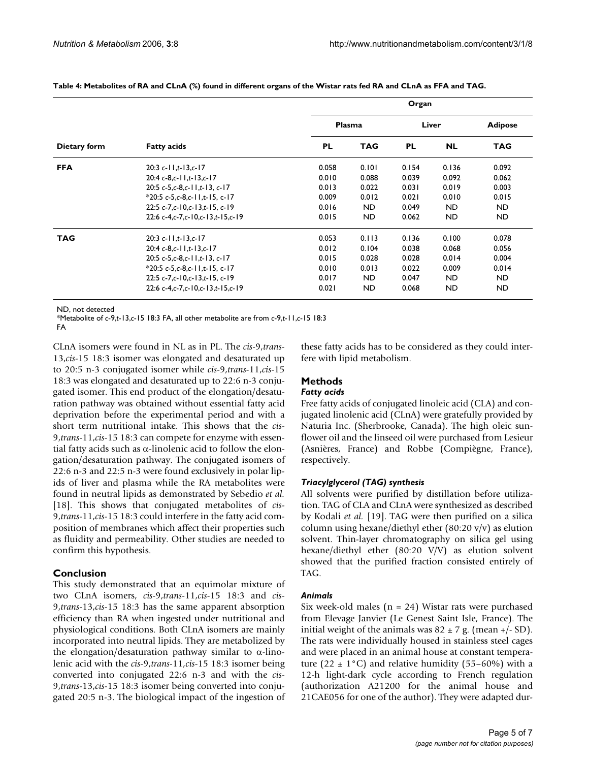|              |                                                 | Organ     |            |           |           |                |  |
|--------------|-------------------------------------------------|-----------|------------|-----------|-----------|----------------|--|
| Dietary form | <b>Fatty acids</b>                              | Plasma    |            | Liver     |           | <b>Adipose</b> |  |
|              |                                                 | <b>PL</b> | <b>TAG</b> | <b>PL</b> | <b>NL</b> | <b>TAG</b>     |  |
| <b>FFA</b>   | $20:3c-11,t-13,c-17$                            | 0.058     | 0.101      | 0.154     | 0.136     | 0.092          |  |
|              | 20:4 $c$ -8, $c$ -11, $t$ -13, $c$ -17          | 0.010     | 0.088      | 0.039     | 0.092     | 0.062          |  |
|              | 20:5 $c$ -5, $c$ -8, $c$ -11, $t$ -13, $c$ -17  | 0.013     | 0.022      | 0.031     | 0.019     | 0.003          |  |
|              | $*20:5c-5,c-8,c-11,t-15,c-17$                   | 0.009     | 0.012      | 0.021     | 0.010     | 0.015          |  |
|              | $22:5c-7.c-10.c-13.t-15.c-19$                   | 0.016     | <b>ND</b>  | 0.049     | <b>ND</b> | <b>ND</b>      |  |
|              | 22:6 c-4.c-7.c-10.c-13.t-15.c-19                | 0.015     | <b>ND</b>  | 0.062     | <b>ND</b> | <b>ND</b>      |  |
| <b>TAG</b>   | $20:3c-11,t-13,c-17$                            | 0.053     | 0.113      | 0.136     | 0.100     | 0.078          |  |
|              | 20:4 $c$ -8, $c$ -11, $t$ -13, $c$ -17          | 0.012     | 0.104      | 0.038     | 0.068     | 0.056          |  |
|              | 20:5 $c$ -5, $c$ -8, $c$ -11, $t$ -13, $c$ -17  | 0.015     | 0.028      | 0.028     | 0.014     | 0.004          |  |
|              | $*20:5c-5,c-8,c-11,t-15,c-17$                   | 0.010     | 0.013      | 0.022     | 0.009     | 0.014          |  |
|              | 22:5 $c$ -7, $c$ -10, $c$ -13, $t$ -15, $c$ -19 | 0.017     | ND.        | 0.047     | <b>ND</b> | <b>ND</b>      |  |
|              | 22:6 c-4.c-7.c-10.c-13.t-15.c-19                | 0.021     | <b>ND</b>  | 0.068     | <b>ND</b> | <b>ND</b>      |  |

**Table 4: Metabolites of RA and CLnA (%) found in different organs of the Wistar rats fed RA and CLnA as FFA and TAG.**

ND, not detected

\*Metabolite of *c*-9,*t*-13,*c*-15 18:3 FA, all other metabolite are from *c*-9,*t*-11,*c*-15 18:3

FA

CLnA isomers were found in NL as in PL. The *cis*-9,*trans*-13,*cis*-15 18:3 isomer was elongated and desaturated up to 20:5 n-3 conjugated isomer while *cis*-9,*trans*-11,*cis*-15 18:3 was elongated and desaturated up to 22:6 n-3 conjugated isomer. This end product of the elongation/desaturation pathway was obtained without essential fatty acid deprivation before the experimental period and with a short term nutritional intake. This shows that the *cis*-9,*trans*-11,*cis*-15 18:3 can compete for enzyme with essential fatty acids such as α-linolenic acid to follow the elongation/desaturation pathway. The conjugated isomers of 22:6 n-3 and 22:5 n-3 were found exclusively in polar lipids of liver and plasma while the RA metabolites were found in neutral lipids as demonstrated by Sebedio *et al.* [18]. This shows that conjugated metabolites of *cis*-9,*trans*-11,*cis*-15 18:3 could interfere in the fatty acid composition of membranes which affect their properties such as fluidity and permeability. Other studies are needed to confirm this hypothesis.

# **Conclusion**

This study demonstrated that an equimolar mixture of two CLnA isomers, *cis*-9,*trans*-11,*cis*-15 18:3 and *cis*-9,*trans*-13,*cis*-15 18:3 has the same apparent absorption efficiency than RA when ingested under nutritional and physiological conditions. Both CLnA isomers are mainly incorporated into neutral lipids. They are metabolized by the elongation/desaturation pathway similar to  $α$ -linolenic acid with the *cis*-9,*trans*-11,*cis*-15 18:3 isomer being converted into conjugated 22:6 n-3 and with the *cis*-9,*trans*-13,*cis*-15 18:3 isomer being converted into conjugated 20:5 n-3. The biological impact of the ingestion of these fatty acids has to be considered as they could interfere with lipid metabolism.

#### **Methods** *Fatty acids*

Free fatty acids of conjugated linoleic acid (CLA) and conjugated linolenic acid (CLnA) were gratefully provided by Naturia Inc. (Sherbrooke, Canada). The high oleic sunflower oil and the linseed oil were purchased from Lesieur (Asnières, France) and Robbe (Compiègne, France), respectively.

# *Triacylglycerol (TAG) synthesis*

All solvents were purified by distillation before utilization. TAG of CLA and CLnA were synthesized as described by Kodali *et al.* [19]. TAG were then purified on a silica column using hexane/diethyl ether (80:20 v/v) as elution solvent. Thin-layer chromatography on silica gel using hexane/diethyl ether (80:20 V/V) as elution solvent showed that the purified fraction consisted entirely of TAG.

# *Animals*

Six week-old males ( $n = 24$ ) Wistar rats were purchased from Elevage Janvier (Le Genest Saint Isle, France). The initial weight of the animals was  $82 \pm 7$  g. (mean  $+/-$  SD). The rats were individually housed in stainless steel cages and were placed in an animal house at constant temperature (22  $\pm$  1°C) and relative humidity (55–60%) with a 12-h light-dark cycle according to French regulation (authorization A21200 for the animal house and 21CAE056 for one of the author). They were adapted dur-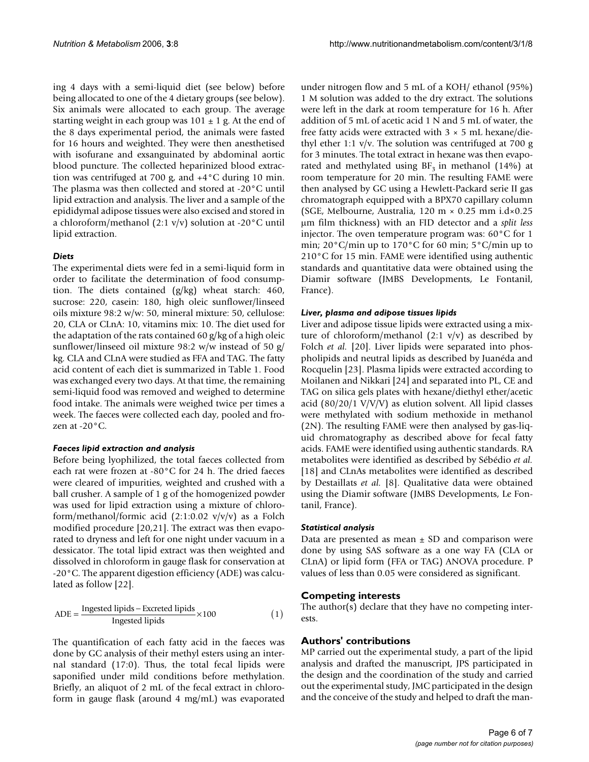ing 4 days with a semi-liquid diet (see below) before being allocated to one of the 4 dietary groups (see below). Six animals were allocated to each group. The average starting weight in each group was  $101 \pm 1$  g. At the end of the 8 days experimental period, the animals were fasted for 16 hours and weighted. They were then anesthetised with isofurane and exsanguinated by abdominal aortic blood puncture. The collected heparinized blood extraction was centrifuged at 700 g, and +4°C during 10 min. The plasma was then collected and stored at -20°C until lipid extraction and analysis. The liver and a sample of the epididymal adipose tissues were also excised and stored in a chloroform/methanol  $(2:1 \text{ v/v})$  solution at -20 $\degree$ C until lipid extraction.

# *Diets*

The experimental diets were fed in a semi-liquid form in order to facilitate the determination of food consumption. The diets contained (g/kg) wheat starch: 460, sucrose: 220, casein: 180, high oleic sunflower/linseed oils mixture 98:2 w/w: 50, mineral mixture: 50, cellulose: 20, CLA or CLnA: 10, vitamins mix: 10. The diet used for the adaptation of the rats contained 60 g/kg of a high oleic sunflower/linseed oil mixture 98:2 w/w instead of 50 g/ kg. CLA and CLnA were studied as FFA and TAG. The fatty acid content of each diet is summarized in Table 1. Food was exchanged every two days. At that time, the remaining semi-liquid food was removed and weighed to determine food intake. The animals were weighed twice per times a week. The faeces were collected each day, pooled and frozen at -20°C.

# *Faeces lipid extraction and analysis*

Before being lyophilized, the total faeces collected from each rat were frozen at -80°C for 24 h. The dried faeces were cleared of impurities, weighted and crushed with a ball crusher. A sample of 1 g of the homogenized powder was used for lipid extraction using a mixture of chloroform/methanol/formic acid  $(2:1:0.02 \text{ v/v/v})$  as a Folch modified procedure [20,21]. The extract was then evaporated to dryness and left for one night under vacuum in a dessicator. The total lipid extract was then weighted and dissolved in chloroform in gauge flask for conservation at -20°C. The apparent digestion efficiency (ADE) was calculated as follow [22].

$$
ADE = \frac{Ingested lipids - Excreted lipids}{Ingested lipids} \times 100
$$
 (1)

The quantification of each fatty acid in the faeces was done by GC analysis of their methyl esters using an internal standard (17:0). Thus, the total fecal lipids were saponified under mild conditions before methylation. Briefly, an aliquot of 2 mL of the fecal extract in chloroform in gauge flask (around 4 mg/mL) was evaporated under nitrogen flow and 5 mL of a KOH/ ethanol (95%) 1 M solution was added to the dry extract. The solutions were left in the dark at room temperature for 16 h. After addition of 5 mL of acetic acid 1 N and 5 mL of water, the free fatty acids were extracted with  $3 \times 5$  mL hexane/diethyl ether 1:1  $v/v$ . The solution was centrifuged at 700 g for 3 minutes. The total extract in hexane was then evaporated and methylated using  $BF<sub>3</sub>$  in methanol (14%) at room temperature for 20 min. The resulting FAME were then analysed by GC using a Hewlett-Packard serie II gas chromatograph equipped with a BPX70 capillary column (SGE, Melbourne, Australia, 120 m × 0.25 mm i.d×0.25 µm film thickness) with an FID detector and a *split less* injector. The oven temperature program was: 60°C for 1 min; 20°C/min up to 170°C for 60 min; 5°C/min up to 210°C for 15 min. FAME were identified using authentic standards and quantitative data were obtained using the Diamir software (JMBS Developments, Le Fontanil, France).

# *Liver, plasma and adipose tissues lipids*

Liver and adipose tissue lipids were extracted using a mixture of chloroform/methanol  $(2:1 \text{ v/v})$  as described by Folch *et al.* [20]. Liver lipids were separated into phospholipids and neutral lipids as described by Juanéda and Rocquelin [23]. Plasma lipids were extracted according to Moilanen and Nikkari [24] and separated into PL, CE and TAG on silica gels plates with hexane/diethyl ether/acetic acid (80/20/1 V/V/V) as elution solvent. All lipid classes were methylated with sodium methoxide in methanol (2N). The resulting FAME were then analysed by gas-liquid chromatography as described above for fecal fatty acids. FAME were identified using authentic standards. RA metabolites were identified as described by Sébédio *et al.* [18] and CLnAs metabolites were identified as described by Destaillats *et al.* [8]. Qualitative data were obtained using the Diamir software (JMBS Developments, Le Fontanil, France).

# *Statistical analysis*

Data are presented as mean  $\pm$  SD and comparison were done by using SAS software as a one way FA (CLA or CLnA) or lipid form (FFA or TAG) ANOVA procedure. P values of less than 0.05 were considered as significant.

# **Competing interests**

The author(s) declare that they have no competing interests.

# **Authors' contributions**

MP carried out the experimental study, a part of the lipid analysis and drafted the manuscript, JPS participated in the design and the coordination of the study and carried out the experimental study, JMC participated in the design and the conceive of the study and helped to draft the man